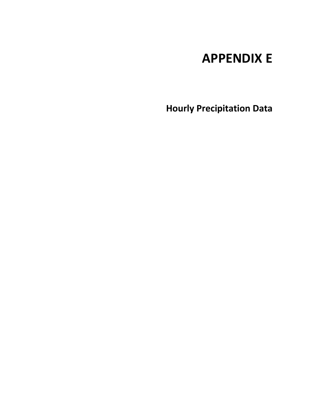# **APPENDIX E**

**Hourly Precipitation Data**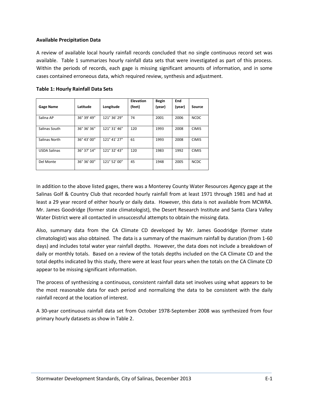### **Available Precipitation Data**

A review of available local hourly rainfall records concluded that no single continuous record set was available. Table 1 summarizes hourly rainfall data sets that were investigated as part of this process. Within the periods of records, each gage is missing significant amounts of information, and in some cases contained erroneous data, which required review, synthesis and adjustment.

| <b>Gage Name</b>    | Latitude    | Longitude    | <b>Elevation</b><br>(feet) | <b>Begin</b><br>(year) | End<br>(year) | Source       |
|---------------------|-------------|--------------|----------------------------|------------------------|---------------|--------------|
| Salina AP           | 36° 39' 49" | 121° 36' 29" | 74                         | 2001                   | 2006          | <b>NCDC</b>  |
| Salinas South       | 36° 36' 36" | 121° 31' 46" | 120                        | 1993                   | 2008          | <b>CIMIS</b> |
| Salinas North       | 36° 43' 00" | 121° 41' 27" | 61                         | 1993                   | 2008          | <b>CIMIS</b> |
| <b>USDA Salinas</b> | 36° 37' 14" | 121° 32' 43" | 120                        | 1983                   | 1992          | <b>CIMIS</b> |
| Del Monte           | 36° 36' 00" | 121° 52' 00" | 45                         | 1948                   | 2005          | <b>NCDC</b>  |

### **Table 1: Hourly Rainfall Data Sets**

In addition to the above listed gages, there was a Monterey County Water Resources Agency gage at the Salinas Golf & Country Club that recorded hourly rainfall from at least 1971 through 1981 and had at least a 29 year record of either hourly or daily data. However, this data is not available from MCWRA. Mr. James Goodridge (former state climatologist), the Desert Research Institute and Santa Clara Valley Water District were all contacted in unsuccessful attempts to obtain the missing data.

Also, summary data from the CA Climate CD developed by Mr. James Goodridge (former state climatologist) was also obtained. The data is a summary of the maximum rainfall by duration (from 1-60 days) and includes total water year rainfall depths. However, the data does not include a breakdown of daily or monthly totals. Based on a review of the totals depths included on the CA Climate CD and the total depths indicated by this study, there were at least four years when the totals on the CA Climate CD appear to be missing significant information.

The process of synthesizing a continuous, consistent rainfall data set involves using what appears to be the most reasonable data for each period and normalizing the data to be consistent with the daily rainfall record at the location of interest.

A 30-year continuous rainfall data set from October 1978-September 2008 was synthesized from four primary hourly datasets as show in Table 2.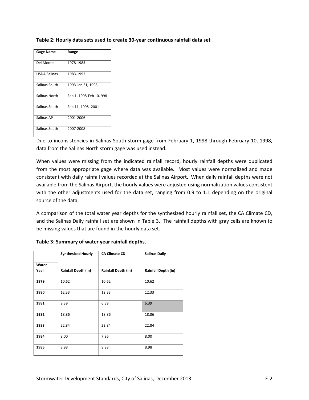| Table 2: Hourly data sets used to create 30-year continuous rainfall data set |  |  |  |
|-------------------------------------------------------------------------------|--|--|--|
|-------------------------------------------------------------------------------|--|--|--|

| <b>Gage Name</b>    | Range                   |
|---------------------|-------------------------|
| Del Monte           | 1978-1983               |
| <b>USDA Salinas</b> | 1983-1992               |
| Salinas South       | 1993-Jan 31, 1998       |
| Salinas North       | Feb 1, 1998-Feb 10, 998 |
| Salinas South       | Feb 11, 1998 -2001      |
| Salinas AP          | 2001-2006               |
| Salinas South       | 2007-2008               |

Due to inconsistencies in Salinas South storm gage from February 1, 1998 through February 10, 1998, data from the Salinas North storm gage was used instead.

When values were missing from the indicated rainfall record, hourly rainfall depths were duplicated from the most appropriate gage where data was available. Most values were normalized and made consistent with daily rainfall values recorded at the Salinas Airport. When daily rainfall depths were not available from the Salinas Airport, the hourly values were adjusted using normalization values consistent with the other adjustments used for the data set, ranging from 0.9 to 1.1 depending on the original source of the data.

A comparison of the total water year depths for the synthesized hourly rainfall set, the CA Climate CD, and the Salinas Daily rainfall set are shown in Table 3. The rainfall depths with gray cells are known to be missing values that are found in the hourly data set.

|       | <b>Synthesized Hourly</b>  | <b>CA Climate CD</b>       | <b>Salinas Daily</b>       |
|-------|----------------------------|----------------------------|----------------------------|
| Water |                            |                            |                            |
| Year  | <b>Rainfall Depth (in)</b> | <b>Rainfall Depth (in)</b> | <b>Rainfall Depth (in)</b> |
| 1979  | 10.62                      | 10.62                      | 10.62                      |
| 1980  | 12.33                      | 12.33                      | 12.33                      |
| 1981  | 9.39                       | 6.39                       | 6.39                       |
| 1982  | 18.86                      | 18.86                      | 18.86                      |
| 1983  | 22.84                      | 22.84                      | 22.84                      |
| 1984  | 8.00                       | 7.96                       | 8.00                       |
| 1985  | 8.98                       | 8.98                       | 8.98                       |

## **Table 3: Summary of water year rainfall depths.**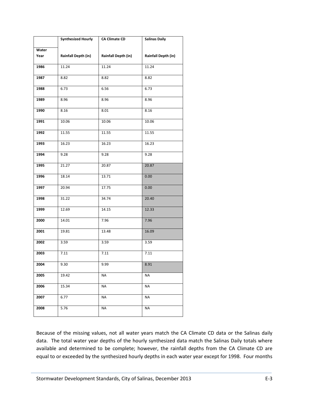|       | <b>Synthesized Hourly</b>  | <b>CA Climate CD</b>       | <b>Salinas Daily</b>       |
|-------|----------------------------|----------------------------|----------------------------|
| Water |                            |                            |                            |
| Year  | <b>Rainfall Depth (in)</b> | <b>Rainfall Depth (in)</b> | <b>Rainfall Depth (in)</b> |
|       |                            |                            |                            |
| 1986  | 11.24                      | 11.24                      | 11.24                      |
| 1987  | 8.82                       | 8.82                       | 8.82                       |
| 1988  | 6.73                       | 6.56                       | 6.73                       |
| 1989  | 8.96                       | 8.96                       | 8.96                       |
| 1990  | 8.16                       | 8.01                       | 8.16                       |
| 1991  | 10.06                      | 10.06                      | 10.06                      |
| 1992  | 11.55                      | 11.55                      | 11.55                      |
| 1993  | 16.23                      | 16.23                      | 16.23                      |
| 1994  | 9.28                       | 9.28                       | 9.28                       |
| 1995  | 21.27                      | 20.87                      | 20.87                      |
| 1996  | 18.14                      | 13.71                      | 0.00                       |
| 1997  | 20.94                      | 17.75                      | 0.00                       |
| 1998  | 31.22                      | 34.74                      | 20.40                      |
| 1999  | 12.69                      | 14.15                      | 12.33                      |
| 2000  | 14.01                      | 7.96                       | 7.96                       |
| 2001  | 19.81                      | 13.48                      | 16.09                      |
| 2002  | 3.59                       | 3.59                       | 3.59                       |
| 2003  | 7.11                       | 7.11                       | 7.11                       |
| 2004  | 9.30                       | 9.99                       | 8.91                       |
| 2005  | 19.42                      | NA                         | ΝA                         |
| 2006  | 15.34                      | <b>NA</b>                  | <b>NA</b>                  |
| 2007  | 6.77                       | NA                         | ΝA                         |
| 2008  | 5.76                       | <b>NA</b>                  | ΝA                         |

Because of the missing values, not all water years match the CA Climate CD data or the Salinas daily data. The total water year depths of the hourly synthesized data match the Salinas Daily totals where available and determined to be complete; however, the rainfall depths from the CA Climate CD are equal to or exceeded by the synthesized hourly depths in each water year except for 1998. Four months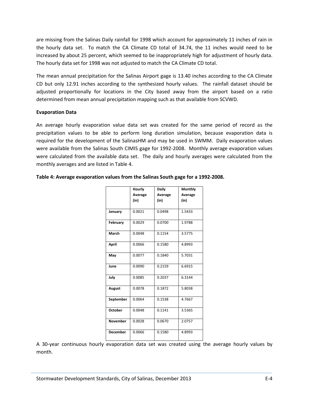are missing from the Salinas Daily rainfall for 1998 which account for approximately 11 inches of rain in the hourly data set. To match the CA Climate CD total of 34.74, the 11 inches would need to be increased by about 25 percent, which seemed to be inappropriately high for adjustment of hourly data. The hourly data set for 1998 was not adjusted to match the CA Climate CD total.

The mean annual precipitation for the Salinas Airport gage is 13.40 inches according to the CA Climate CD but only 12.91 inches according to the synthesized hourly values. The rainfall dataset should be adjusted proportionally for locations in the City based away from the airport based on a ratio determined from mean annual precipitation mapping such as that available from SCVWD.

### **Evaporation Data**

An average hourly evaporation value data set was created for the same period of record as the precipitation values to be able to perform long duration simulation, because evaporation data is required for the development of the SalinasHM and may be used in SWMM. Daily evaporation values were available from the Salinas South CIMIS gage for 1992-2008. Monthly average evaporation values were calculated from the available data set. The daily and hourly averages were calculated from the monthly averages and are listed in Table 4.

|                 | Hourly  | Daily   | Monthly |
|-----------------|---------|---------|---------|
|                 | Average | Average | Average |
|                 | (in)    | (in)    | (in)    |
|                 |         |         |         |
| January         | 0.0021  | 0.0498  | 1.5433  |
| February        | 0.0029  | 0.0700  | 1.9788  |
| March           | 0.0048  | 0.1154  | 3.5775  |
| April           | 0.0066  | 0.1580  | 4.8993  |
| May             | 0.0077  | 0.1840  | 5.7031  |
| June            | 0.0090  | 0.2159  | 6.6915  |
| July            | 0.0085  | 0.2037  | 6.3144  |
| August          | 0.0078  | 0.1872  | 5.8038  |
| September       | 0.0064  | 0.1538  | 4.7667  |
| <b>October</b>  | 0.0048  | 0.1141  | 3.5365  |
| <b>November</b> | 0.0028  | 0.0670  | 2.0757  |
| <b>December</b> | 0.0066  | 0.1580  | 4.8993  |

### **Table 4: Average evaporation values from the Salinas South gage for a 1992-2008.**

A 30-year continuous hourly evaporation data set was created using the average hourly values by month.